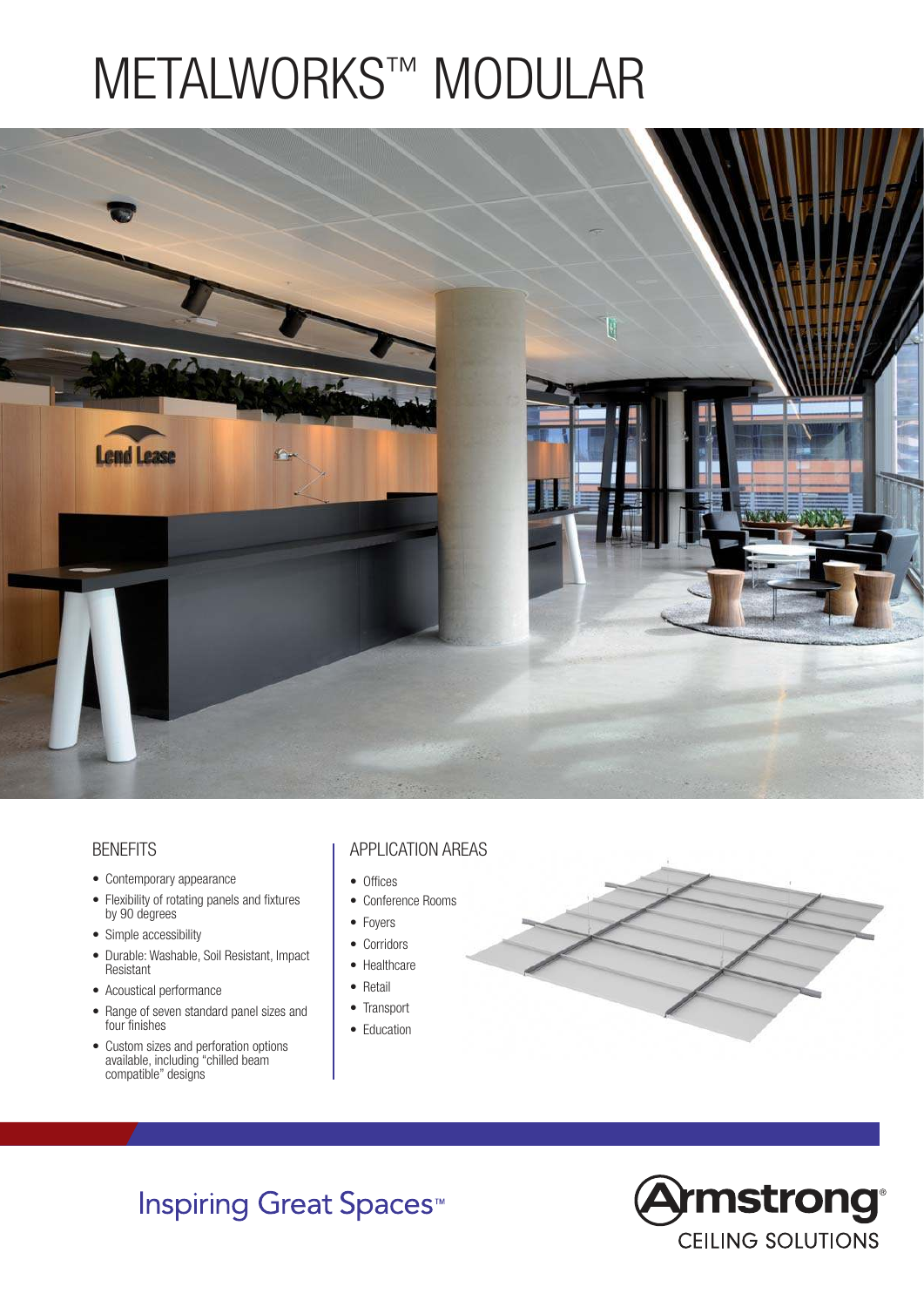# METALWORKS™ MODULAR



#### **BENEFITS**

- Contemporary appearance
- Flexibility of rotating panels and fixtures by 90 degrees
- Simple accessibility
- Durable: Washable, Soil Resistant, Impact Resistant
- Acoustical performance
- Range of seven standard panel sizes and four finishes
- Custom sizes and perforation options available, including "chilled beam compatible" designs

#### APPLICATION AREAS

- Offices
- Conference Rooms
- Foyers
- Corridors
- Healthcare
- Retail
- Transport
- Education



## **Inspiring Great Spaces<sup>™</sup>**